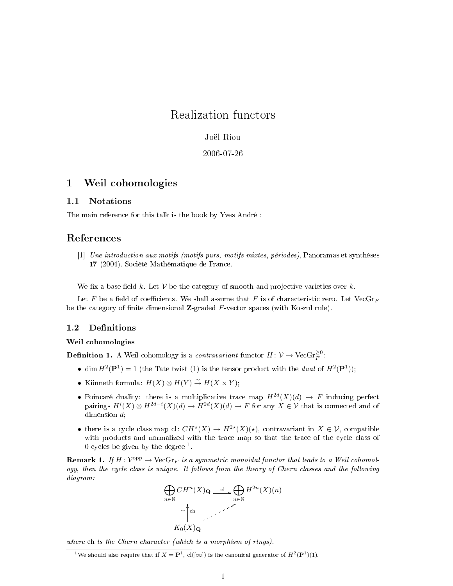# Realization functors

Joël Riou

### 2006-07-26

# 1 Weil cohomologies

### 1.1 Notations

The main reference for this talk is the book by Yves André :

# References

[1] Une introduction aux motifs (motifs purs, motifs mixtes, périodes), Panoramas et synthèses 17 (2004). Société Mathématique de France.

We fix a base field k. Let V be the category of smooth and projective varieties over k.

Let F be a field of coefficients. We shall assume that F is of characteristic zero. Let VecGr<sub>F</sub> be the category of finite dimensional  $\mathbb{Z}$ -graded  $F$ -vector spaces (with Koszul rule).

### 1.2 Definitions

### Weil cohomologies

**Definition 1.** A Weil cohomology is a *contravariant* functor  $H: \mathcal{V} \to \text{VecGr}_{F}^{\geq 0}$ :

- dim  $H^2(\mathbf{P}^1) = 1$  (the Tate twist (1) is the tensor product with the *dual* of  $H^2(\mathbf{P}^1)$ );
- Künneth formula:  $H(X) \otimes H(Y) \stackrel{\sim}{\to} H(X \times Y);$
- Poincaré duality: there is a multiplicative trace map  $H^{2d}(X)(d) \to F$  inducing perfect pairings  $H^i(X) \otimes H^{2d-i}(X)(d) \to H^{2d}(X)(d) \to F$  for any  $X \in \mathcal{V}$  that is connected and of dimension d;
- there is a cycle class map cl:  $CH^*(X) \to H^{2*}(X)(*)$ , contravariant in  $X \in \mathcal{V}$ , compatible with products and normalized with the trace map so that the trace of the cycle class of 0-cycles be given by the degree  $<sup>1</sup>$ .</sup>

**Remark 1.** If  $H: V^{\text{opp}} \to \text{VecGr}_F$  is a symmetric monoidal functor that leads to a Weil cohomology, then the cycle class is unique. It follows from the theory of Chern classes and the following diagram:



where ch is the Chern character (which is a morphism of rings).

<sup>1</sup>We should also require that if  $X = \mathbf{P}^1$ , cl( $[\infty]$ ) is the canonical generator of  $H^2(\mathbf{P}^1)(1)$ .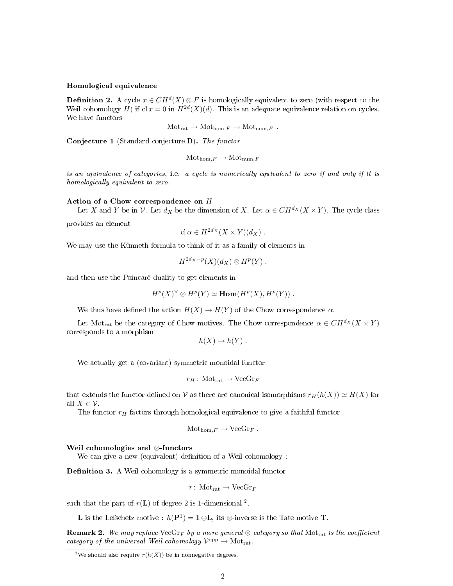#### Homological equivalence

**Definition 2.** A cycle  $x \in CH^d(X) \otimes F$  is homologically equivalent to zero (with respect to the Weil cohomology H) if  $cl x = 0$  in  $H^{2d}(X)(d)$ . This is an adequate equivalence relation on cycles. We have functors

$$
\text{Mot}_{\text{rat}} \to \text{Mot}_{\text{hom},F} \to \text{Mot}_{\text{num},F} .
$$

Conjecture 1 (Standard conjecture D). The functor

$$
Mothom,F \to Motnum,F
$$

is an equivalence of categories, i.e. a cycle is numerically equivalent to zero if and only if it is homologically equivalent to zero.

#### Action of a Chow correspondence on H

Let X and Y be in V. Let  $d_X$  be the dimension of X. Let  $\alpha \in CH^{d_X}(X \times Y)$ . The cycle class

provides an element

$$
\mathrm{cl}\,\alpha\in H^{2d_X}(X\times Y)(d_X)\ .
$$

We may use the Künneth formula to think of it as a family of elements in

$$
H^{2d_X-p}(X)(d_X)\otimes H^p(Y)\;,
$$

and then use the Poincaré duality to get elements in

$$
H^p(X)^\vee \otimes H^p(Y) \simeq \text{Hom}(H^p(X), H^p(Y)).
$$

We thus have defined the action  $H(X) \to H(Y)$  of the Chow correspondence  $\alpha$ .

Let Mot<sub>rat</sub> be the category of Chow motives. The Chow correspondence  $\alpha \in CH^{d_X}(X \times Y)$ corresponds to a morphism

$$
h(X) \to h(Y) .
$$

We actually get a (covariant) symmetric monoidal functor

$$
r_H\colon \operatorname{Mot}_{\operatorname{rat}}\to \operatorname{VecGr}_F
$$

that extends the functor defined on V as there are canonical isomorphisms  $r_H(h(X)) \simeq H(X)$  for all  $X \in \mathcal{V}$ .

The functor  $r_H$  factors through homological equivalence to give a faithful functor

$$
\text{Mot}_{\text{hom},F} \to \text{VecGr}_F.
$$

#### Weil cohomologies and ⊗-functors

We can give a new (equivalent) definition of a Weil cohomology :

**Definition 3.** A Weil cohomology is a symmetric monoidal functor

$$
r\colon\operatorname{Mot}_{\operatorname{rat}}\to\operatorname{VecGr}_F
$$

such that the part of  $r(L)$  of degree 2 is 1-dimensional <sup>2</sup>.

**L** is the Lefschetz motive :  $h(\mathbf{P}^1) = \mathbf{1} \oplus \mathbf{L}$ , its ⊗-inverse is the Tate motive **T**.

**Remark 2.** We may replace VecGr<sub>F</sub> by a more general ⊗-category so that Mot<sub>rat</sub> is the coefficient category of the universal Weil cohomology  $\mathcal{V}^{\text{opp}} \to \text{Mot}_{\text{rat}}$ .

<sup>&</sup>lt;sup>2</sup>We should also require  $r(h(X))$  be in nonnegative degrees.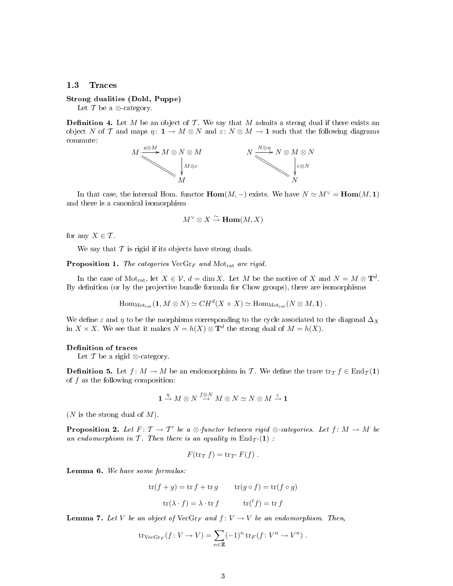### 1.3 Traces

### Strong dualities (Dold, Puppe)

Let  $\mathcal T$  be a  $\otimes$ -category.

**Definition 4.** Let M be an object of  $\mathcal{T}$ . We say that M admits a strong dual if there exists an object N of T and maps  $\eta: \mathbf{1} \to M \otimes N$  and  $\varepsilon: N \otimes M \to \mathbf{1}$  such that the following diagrams commute:



In that case, the internal Hom. functor  $\text{Hom}(M, -)$  exists. We have  $N \simeq M^{\vee} = \text{Hom}(M, 1)$ and there is a canonical isomorphism

$$
M^\vee\otimes X\stackrel{\sim}{\to}\mathbf{Hom}(M,X)
$$

for any  $X \in \mathcal{T}$ .

We say that  $\mathcal T$  is rigid if its objects have strong duals.

**Proposition 1.** The categories  $VecGr_F$  and  $Mot_{rat}$  are rigid.

In the case of Mot<sub>rat</sub>, let  $X \in \mathcal{V}$ ,  $d = \dim X$ . Let M be the motive of X and  $N = M \otimes \mathbf{T}^d$ . By definition (or by the projective bundle formula for Chow groups), there are isomorphisms

 $\text{Hom}_{\text{Motrat}}(\mathbf{1}, M \otimes N) \simeq CH^d(X \times X) \simeq \text{Hom}_{\text{Motrat}}(N \otimes M, \mathbf{1})$ .

We define  $\varepsilon$  and  $\eta$  to be the morphisms corresponding to the cycle associated to the diagonal  $\Delta_X$ in  $X \times X$ . We see that it makes  $N = h(X) \otimes \mathbf{T}^d$  the strong dual of  $M = h(X)$ .

#### Definition of traces

Let  $\mathcal T$  be a rigid ⊗-category.

**Definition 5.** Let  $f: M \to M$  be an endomorphism in T. We define the trace  $\text{tr}_{\mathcal{I}} f \in \text{End}_{\mathcal{I}}(1)$ of  $f$  as the following composition:

$$
1 \stackrel{\eta}{\to} M \otimes N \stackrel{f \otimes N}{\to} M \otimes N \simeq N \otimes M \stackrel{\varepsilon}{\to} \mathbf{1}
$$

 $(N$  is the strong dual of  $M$ ).

**Proposition 2.** Let  $F: \mathcal{T} \to \mathcal{T}'$  be a  $\otimes$ -functor between rigid  $\otimes$ -categories. Let  $f: M \to M$  be an endomorphism in T. Then there is an equality in  $\text{End}_{\mathcal{T}'}(1)$ :

$$
F(\operatorname{tr}_{\mathcal{I}} f) = \operatorname{tr}_{\mathcal{I}'} F(f).
$$

Lemma 6. We have some formulas:

$$
\text{tr}(f+g) = \text{tr } f + \text{tr } g \qquad \text{tr}(g \circ f) = \text{tr}(f \circ g)
$$

$$
\text{tr}(\lambda \cdot f) = \lambda \cdot \text{tr } f \qquad \text{tr}(^t f) = \text{tr } f
$$

**Lemma 7.** Let V be an object of  $\text{VecGr}_F$  and  $f: V \to V$  be an endomorphism. Then,

$$
\operatorname{tr}_{\operatorname{VecGr}_F}(f: V \to V) = \sum_{n \in \mathbf{Z}} (-1)^n \operatorname{tr}_F(f: V^n \to V^n) .
$$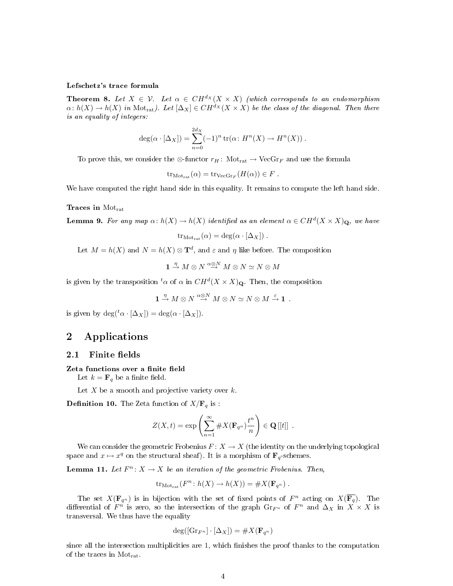#### Lefschetz's trace formula

**Theorem 8.** Let  $X \in \mathcal{V}$ . Let  $\alpha \in CH^{d_X}(X \times X)$  (which corresponds to an endomorphism  $\alpha: h(X) \to h(X)$  in Mot<sub>rat</sub>). Let  $[\Delta_X] \in CH^{d_X}(X \times X)$  be the class of the diagonal. Then there is an equality of integers:

$$
deg(\alpha \cdot [\Delta_X]) = \sum_{n=0}^{2d_X} (-1)^n tr(\alpha \colon H^n(X) \to H^n(X)).
$$

To prove this, we consider the ⊗-functor  $r_H$ : Mot<sub>rat</sub>  $\rightarrow$  VecGr<sub>F</sub> and use the formula

 $\text{tr}_{\text{Mot}_{\text{rat}}}(\alpha) = \text{tr}_{\text{VecGr}_F}(H(\alpha)) \in F$ .

We have computed the right hand side in this equality. It remains to compute the left hand side.

### Traces in Motrat

**Lemma 9.** For any map  $\alpha$ :  $h(X) \to h(X)$  identified as an element  $\alpha \in CH^d(X \times X)_Q$ , we have

$$
tr_{Mot_{rat}}(\alpha) = deg(\alpha \cdot [\Delta_X]).
$$

Let  $M = h(X)$  and  $N = h(X) \otimes \mathbf{T}^d$ , and  $\varepsilon$  and  $\eta$  like before. The composition

$$
\mathbf{1}\stackrel{\eta}{\to}M\otimes N\stackrel{\alpha\otimes N}{\to}M\otimes N\simeq N\otimes M
$$

is given by the transposition  ${}^t\alpha$  of  $\alpha$  in  $CH^d(X \times X)_\mathbf{Q}$ . Then, the composition

$$
1 \stackrel{\eta}{\to} M \otimes N \stackrel{\alpha \otimes N}{\to} M \otimes N \simeq N \otimes M \stackrel{\varepsilon}{\to} 1.
$$

is given by  $\deg({}^t\alpha \cdot [\Delta_X]) = \deg(\alpha \cdot [\Delta_X]).$ 

# 2 Applications

#### 2.1 Finite fields

#### Zeta functions over a finite field

Let  $k = \mathbf{F}_q$  be a finite field.

Let  $X$  be a smooth and projective variety over  $k$ .

**Definition 10.** The Zeta function of  $X/\mathbf{F}_q$  is :

$$
Z(X,t) = \exp\left(\sum_{n=1}^{\infty} \#X(\mathbf{F}_{q^n})\frac{t^n}{n}\right) \in \mathbf{Q}[[t]]
$$

We can consider the geometric Frobenius  $F: X \to X$  (the identity on the underlying topological space and  $x \mapsto x^q$  on the structural sheaf). It is a morphism of  $\mathbf{F}_q$ -schemes.

**Lemma 11.** Let  $F^n: X \to X$  be an iteration of the geometric Frobenius. Then,

$$
tr_{Mot_{rat}}(F^n: h(X) \to h(X)) = \#X(\mathbf{F}_{q^n}) .
$$

The set  $X(\mathbf{F}_{q^n})$  is in bijection with the set of fixed points of  $F^n$  acting on  $X(\overline{\mathbf{F}_q})$ . The differential of  $F^n$  is zero, so the intersection of the graph  $\mathrm{Gr}_{F^n}$  of  $F^n$  and  $\Delta_X$  in  $\bar{X} \times X$  is transversal. We thus have the equality

$$
\deg([{\rm Gr}_{F^n}]\cdot[\Delta_X])=\#X(\mathbf{F}_{q^n})
$$

since all the intersection multiplicities are  $1$ , which finishes the proof thanks to the computation of the traces in Motrat.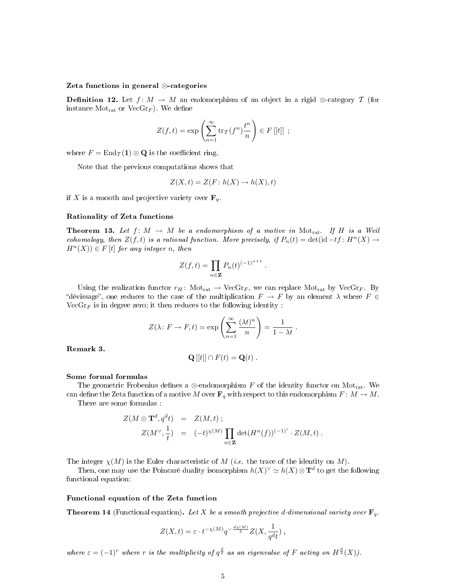#### Zeta functions in general ⊗-categories

**Definition 12.** Let  $f: M \to M$  an endomorphism of an object in a rigid ⊗-category T (for instance  $Mot_{rat}$  or  $VecGr_F$ ). We define

$$
Z(f,t) = \exp\left(\sum_{n=1}^{\infty} \text{tr}_{\mathcal{T}}(f^n) \frac{t^n}{n}\right) \in F[[t]]\ ;
$$

where  $F = \text{End}_{\mathcal{T}}(1) \otimes \mathbf{Q}$  is the coefficient ring.

Note that the previous computations shows that

$$
Z(X,t) = Z(F \colon h(X) \to h(X), t)
$$

if X is a smooth and projective variety over  $\mathbf{F}_q$ .

#### Rationality of Zeta functions

**Theorem 13.** Let  $f: M \to M$  be a endomorphism of a motive in Mot<sub>rat</sub>. If H is a Weil cohomology, then  $Z(f, t)$  is a rational function. More precisely, if  $P_n(t) = \det(\mathrm{id} - tf : H^n(X) \to$  $H^n(X)$ )  $\in$  F  $[t]$  for any integer n, then

$$
Z(f,t) = \prod_{n \in \mathbf{Z}} P_n(t)^{(-1)^{n+1}}.
$$

Using the realization functor  $r_H$ : Mot<sub>rat</sub>  $\rightarrow$  VecGr<sub>F</sub>, we can replace Mot<sub>rat</sub> by VecGr<sub>F</sub>. By "dévissage", one reduces to the case of the multiplication  $F \to F$  by an element  $\lambda$  where  $F \in$  $VecGr_F$  is in degree zero; it then reduces to the following identity :

$$
Z(\lambda: F \to F, t) = \exp\left(\sum_{n=1}^{\infty} \frac{(\lambda t)^n}{n}\right) = \frac{1}{1 - \lambda t}.
$$

Remark 3.

$$
\mathbf{Q}[[t]] \cap F(t) = \mathbf{Q}(t) .
$$

#### Some formal formulas

The geometric Frobenius defines a ⊗-endomorphism F of the identity functor on Mot<sub>rat</sub>. We can define the Zeta function of a motive M over  $\mathbf{F}_q$  with respect to this endomorphism  $F: M \to M$ .

There are some formulas :

$$
Z(M \otimes \mathbf{T}^{d}, q^{d}t) = Z(M, t) ;
$$
  

$$
Z(M^{\vee}, \frac{1}{t}) = (-t)^{\chi(M)} \prod_{n \in \mathbf{Z}} \det(H^{n}(f))^{(-1)^{i}} \cdot Z(M, t) .
$$

The integer  $\chi(M)$  is the Euler characteristic of M (*i.e.* the trace of the identity on M).

Then, one may use the Poincaré duality isomorphism  $h(X)^{\vee} \simeq h(X) \otimes \mathbf{T}^d$  to get the following functional equation:

#### Functional equation of the Zeta function

**Theorem 14** (Functional equation). Let X be a smooth projective d-dimensional variety over  $\mathbf{F}_q$ .

$$
Z(X,t) = \varepsilon \cdot t^{-\chi(M)} q^{-\frac{d\chi(M)}{2}} Z(X, \frac{1}{q^d t}),
$$

where  $\varepsilon = (-1)^r$  where r is the multiplicity of  $q^{\frac{d}{2}}$  as an eigenvalue of F acting on  $H^{\frac{d}{2}}(X)$ ).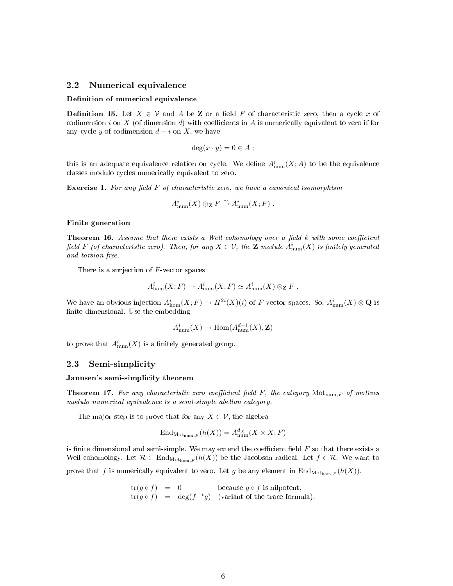### 2.2 Numerical equivalence

#### Definition of numerical equivalence

**Definition 15.** Let  $X \in \mathcal{V}$  and A be **Z** or a field F of characteristic zero, then a cycle x of codimension i on X (of dimension d) with coefficients in A is numerically equivalent to zero if for any cycle y of codimension  $d - i$  on X, we have

$$
\deg(x \cdot y) = 0 \in A ;
$$

this is an adequate equivalence relation on cycle. We define  $A^i_{\text{num}}(X;A)$  to be the equivalence classes modulo cycles numerically equivalent to zero.

**Exercise 1.** For any field  $F$  of characteristic zero, we have a canonical isomorphism

$$
A^i_{\text{num}}(X) \otimes_{\mathbf{Z}} F \xrightarrow{\sim} A^i_{\text{num}}(X;F) .
$$

#### Finite generation

**Theorem 16.** Assume that there exists a Weil cohomology over a field k with some coefficient field F (of characteristic zero). Then, for any  $X\in\mathcal{V},$  the  ${\bf Z}\text{-}module$   $A^i_{\text{num}}(X)$  is finitely generated and torsion free.

There is a surjection of  $F$ -vector spaces

$$
A^i_{\rm hom}(X;F) \to A^i_{\rm num}(X;F) \simeq A^i_{\rm num}(X) \otimes_{\mathbf{Z}} F.
$$

We have an obvious injection  $A^i_{\text{hom}}(X;F) \to H^{2i}(X)(i)$  of F-vector spaces. So,  $A^i_{\text{num}}(X) \otimes \mathbf{Q}$  is finite dimensional. Use the embedding

$$
A^i_{\text{num}}(X) \to \text{Hom}(A^{d-i}_{\text{num}}(X), \mathbf{Z})
$$

to prove that  $A^i_{\text{num}}(X)$  is a finitely generated group.

### 2.3 Semi-simplicity

### Jannsen's semi-simplicity theorem

**Theorem 17.** For any characteristic zero coefficient field F, the category  $Mot_{num,F}$  of motives modulo numerical equivalence is a semi-simple abelian category.

The major step is to prove that for any  $X \in \mathcal{V}$ , the algebra

$$
End_{\mathrm{Mot}_{\mathrm{num},F}}(h(X)) = A_{\mathrm{num}}^{d_X}(X \times X; F)
$$

is finite dimensional and semi-simple. We may extend the coefficient field  $F$  so that there exists a Weil cohomology. Let  $\mathcal{R} \subset \text{End}_{\text{Mot}_\text{hom,F}}(h(X))$  be the Jacobson radical. Let  $f \in \mathcal{R}$ . We want to

prove that f is numerically equivalent to zero. Let g be any element in  $\text{End}_{\text{Mot}_{\text{hom},F}}(h(X))$ .

$$
\begin{array}{rcl}\n\text{tr}(g \circ f) & = & 0 \\
\text{tr}(g \circ f) & = & \text{deg}(f \cdot {}^t g) \\
\text{variance of the trace formula.}\n\end{array}
$$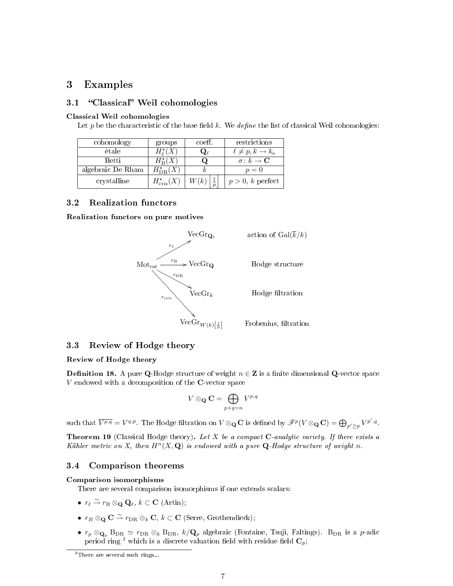# 3 Examples

### 3.1 "Classical" Weil cohomologies

### Classical Weil cohomologies

Let p be the characteristic of the base field k. We define the list of classical Weil cohomologies:

| cohomology        | groups                                     | coeff.       | restrictions                       |
|-------------------|--------------------------------------------|--------------|------------------------------------|
| étale             | $H^{\star}_{\scriptscriptstyle{\theta}}(X$ | $\mathbf{Q}$ | $\ell \neq p, k \rightarrow k_{s}$ |
| <b>Betti</b>      | $H^{\star}_{\mathbf{p}}(X)$                | Q            | $\sigma\colon k\to{\bf C}$         |
| algebraic De Rham | $H^{\star}_{\mathrm{DR}}(X)$               |              | $p=0$                              |
| crystalline       | $H^{\star}_{\mathrm{cris}}(X)$             | W(k)         | $p > 0$ , k perfect                |

### 3.2 Realization functors

Realization functors on pure motives



### 3.3 Review of Hodge theory

### Review of Hodge theory

**Definition 18.** A pure Q-Hodge structure of weight  $n \in \mathbb{Z}$  is a finite dimensional Q-vector space  $V$  endowed with a decomposition of the  $C$ -vector space

$$
V\otimes_{\mathbf{Q}}\mathbf{C}=\bigoplus_{p+q=n}V^{p,q}
$$

such that  $\overline{V^{p,q}} = V^{q,p}$ . The Hodge filtration on  $V \otimes_{\mathbf{Q}} \mathbf{C}$  is defined by  $\mathscr{F}^p(V \otimes_{\mathbf{Q}} \mathbf{C}) = \bigoplus_{p' \geq p} V^{p',q}$ .

**Theorem 19** (Classical Hodge theory). Let X be a compact  $C$ -analytic variety. If there exists a Kähler metric on X, then  $H^n(X, \mathbf{Q})$  is endowed with a pure  $\mathbf{Q}$ -Hodge structure of weight n.

### 3.4 Comparison theorems

#### Comparison isomorphisms

There are several comparison isomorphisms if one extends scalars:

- $r_{\ell} \stackrel{\sim}{\rightarrow} r_{\mathcal{B}} \otimes_{\mathbf{Q}} \mathbf{Q}_{\ell}, k \subset \mathbf{C}$  (Artin);
- $r_B \otimes_{\mathbf{Q}} \mathbf{C} \stackrel{\sim}{\to} r_{\text{DR}} \otimes_k \mathbf{C}, k \subset \mathbf{C}$  (Serre, Grothendieck);
- $r_p \otimes_{\mathbf{Q}_p} \text{B}_{\text{DR}} \simeq r_{\text{DR}} \otimes_k \text{B}_{\text{DR}}$ ,  $k/\mathbf{Q}_p$  algebraic (Fontaine, Tsuji, Faltings). B<sub>DR</sub> is a p-adic period ring<sup>3</sup> which is a discrete valuation field with residue field  $\mathbf{C}_p$ ;

<sup>&</sup>lt;sup>3</sup>There are several such rings...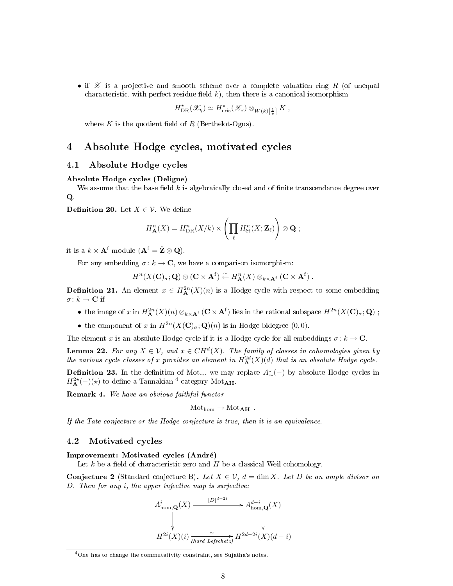• if  $\mathscr X$  is a projective and smooth scheme over a complete valuation ring R (of unequal characteristic, with perfect residue field  $k$ ), then there is a canonical isomorphism

$$
H^{\star}_{\mathrm{DR}}(\mathscr{X}_{\eta}) \simeq H^{\star}_{\mathrm{cris}}(\mathscr{X}_{s}) \otimes_{W(k)[\frac{1}{p}]} K ,
$$

where K is the quotient field of R (Berthelot-Ogus).

## 4 Absolute Hodge cycles, motivated cycles

### 4.1 Absolute Hodge cycles

#### Absolute Hodge cycles (Deligne)

We assume that the base field  $k$  is algebraically closed and of finite transcendance degree over Q.

**Definition 20.** Let  $X \in \mathcal{V}$ . We define

$$
H_{\mathbf{A}}^{n}(X) = H_{\mathrm{DR}}^{n}(X/k) \times \left( \prod_{\ell} H_{\mathrm{\acute{e}t}}^{n}(X; \mathbf{Z}_{\ell}) \right) \otimes \mathbf{Q};
$$

it is a  $k \times \mathbf{A}^{\text{f}}$ -module  $(\mathbf{A}^{\text{f}} = \hat{\mathbf{Z}} \otimes \mathbf{Q})$ .

For any embedding  $\sigma: k \to \mathbb{C}$ , we have a comparison isomorphism:

$$
H^n(X(\mathbf{C})_{\sigma};\mathbf{Q})\otimes (\mathbf{C}\times\mathbf{A}^{\mathrm{f}})\stackrel{\sim}{\leftarrow} H^n_{\mathbf{A}}(X)\otimes_{k\times\mathbf{A}^{\mathrm{f}}}\left(\mathbf{C}\times\mathbf{A}^{\mathrm{f}}\right).
$$

**Definition 21.** An element  $x \in H^{2n}_{\mathbf{A}}(X)(n)$  is a Hodge cycle with respect to some embedding  $\sigma\colon k\to\mathbf{C}$  if

- the image of x in  $H^{2n}_{\mathbf{A}}(X)(n) \otimes_{k \times \mathbf{A}^{\mathrm{f}}} (\mathbf{C} \times \mathbf{A}^{\mathrm{f}})$  lies in the rational subspace  $H^{2n}(X(\mathbf{C})_{\sigma};\mathbf{Q})$ ;
- the component of x in  $H^{2n}(X(\mathbf{C})_{\sigma};\mathbf{Q})(n)$  is in Hodge bidegree  $(0,0)$ .

The element x is an absolute Hodge cycle if it is a Hodge cycle for all embeddings  $\sigma: k \to \mathbb{C}$ .

**Lemma 22.** For any  $X \in \mathcal{V}$ , and  $x \in CH^d(X)$ . The family of classes in cohomologies given by the various cycle classes of x provides an element in  $H^{2d}_{\bf A}(X)(d)$  that is an absolute Hodge cycle.

**Definition 23.** In the definition of Mot∼, we may replace  $A^{\star}_{\sim}(-)$  by absolute Hodge cycles in  $H^{2\star}_{\bf A}(-)(\star)$  to define a Tannakian  $^4$  category  ${\rm Mot}_{\bf AH}.$ 

Remark 4. We have an obvious faithful functor

 $Mot<sub>hom</sub> \rightarrow Mot<sub>AH</sub>$ .

If the Tate conjecture or the Hodge conjecture is true, then it is an equivalence.

### 4.2 Motivated cycles

### Improvement: Motivated cycles (André)

Let  $k$  be a field of characteristic zero and  $H$  be a classical Weil cohomology.

Conjecture 2 (Standard conjecture B). Let  $X \in \mathcal{V}$ ,  $d = \dim X$ . Let D be an ample divisor on D. Then for any i, the upper injective map is surjective:

$$
A_{\text{hom},\mathbf{Q}}^{i}(X) \xrightarrow{\qquad [D]^{d-2i}} A_{\text{hom},\mathbf{Q}}^{d-i}(X)
$$
\n
$$
\downarrow \qquad \qquad \downarrow
$$
\n
$$
H^{2i}(X)(i) \xrightarrow[\text{hard Lefschetz}]{\sim} H^{2d-2i}(X)(d-i)
$$

<sup>&</sup>lt;sup>4</sup>One has to change the commutativity constraint, see Sujatha's notes.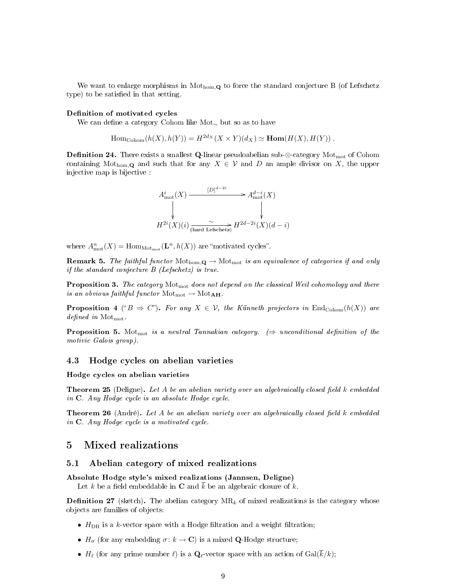We want to enlarge morphisms in  $Mot_{hom,Q}$  to force the standard conjecture B (of Lefschetz type) to be satisfied in that setting.

#### Definition of motivated cycles

We can define a category Cohom like Mot<sub>∼</sub> but so as to have

$$
\mathrm{Hom}_{\mathrm{Cohom}}(h(X), h(Y)) = H^{2d_X}(X \times Y)(d_X) \simeq \mathrm{Hom}(H(X), H(Y)).
$$

**Definition 24.** There exists a smallest Q-linear pseudoabelian sub-⊗-category Mot<sub>mot</sub> of Cohom containing Mot<sub>hom,</sub> Q and such that for any  $X \in \mathcal{V}$  and D an ample divisor on X, the upper injective map is bijective :



where  $A_{\text{mot}}^n(X) = \text{Hom}_{\text{Mot}_{\text{mot}}}(\mathbf{L}^n, h(X))$  are "motivated cycles".

**Remark 5.** The faithful functor  $\text{Mot}_{\text{hom},\mathbf{Q}} \to \text{Mot}_{\text{mot}}$  is an equivalence of categories if and only if the standard conjecture B (Lefschetz) is true.

**Proposition 3.** The category  $Mot<sub>mot</sub>$  does not depend on the classical Weil cohomology and there is an obvious faithful functor  $\text{Mot}_{\text{mot}} \to \text{Mot}_{\text{AH}}$ .

**Proposition 4** (" $B \Rightarrow C$ "). For any  $X \in V$ , the Künneth projectors in End<sub>Cohom</sub> $(h(X))$  are defined in  $Mot<sub>mot</sub>$ 

**Proposition 5.** Mot<sub>mot</sub> is a neutral Tannakian category.  $(\Rightarrow$  unconditional definition of the motivic Galois group).

#### 4.3 Hodge cycles on abelian varieties

#### Hodge cycles on abelian varieties

**Theorem 25** (Deligne). Let A be an abelian variety over an algebraically closed field k embedded in C. Any Hodge cycle is an absolute Hodge cycle.

**Theorem 26** (André). Let A be an abelian variety over an algebraically closed field k embedded in C. Any Hodge cycle is a motivated cycle.

# 5 Mixed realizations

### 5.1 Abelian category of mixed realizations

### Absolute Hodge style's mixed realizations (Jannsen, Deligne)

Let k be a field embeddable in C and k be an algebraic closure of k.

**Definition 27** (sketch). The abelian category  $MR_k$  of mixed realizations is the category whose objects are families of objects:

- $H_{\text{DR}}$  is a k-vector space with a Hodge filtration and a weight filtration;
- $H_{\sigma}$  (for any embedding  $\sigma: k \to \mathbb{C}$ ) is a mixed **Q**-Hodge structure;
- $H_{\ell}$  (for any prime number  $\ell$ ) is a  $\mathbf{Q}_{\ell}$ -vector space with an action of  $Gal(\overline{k}/k);$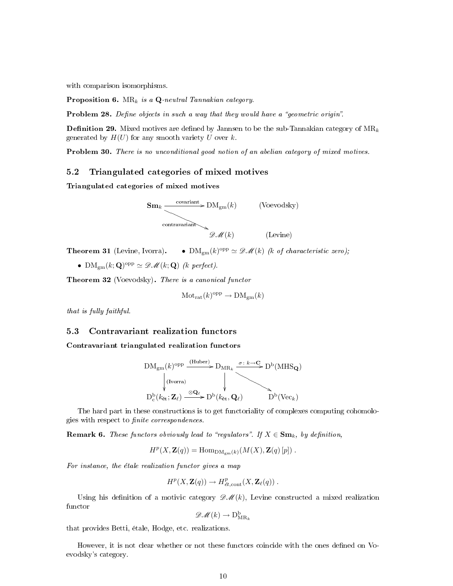with comparison isomorphisms.

**Proposition 6.** MR<sub>k</sub> is a  $Q$ -neutral Tannakian category.

Problem 28. Define objects in such a way that they would have a "geometric origin".

**Definition 29.** Mixed motives are defined by Jannsen to be the sub-Tannakian category of  $MR_k$ generated by  $H(U)$  for any smooth variety U over k.

Problem 30. There is no unconditional good notion of an abelian category of mixed motives.

### 5.2 Triangulated categories of mixed motives

Triangulated categories of mixed motives



**Theorem 31** (Levine, Ivorra).  $\bullet$   $\text{DM}_{gm}(k)^{\text{opp}} \simeq \mathscr{D} \mathscr{M}(k)$  (k of characteristic zero);

•  $\text{DM}_{gm}(k; \mathbf{Q})^{\text{opp}} \simeq \mathscr{DM}(k; \mathbf{Q})$  (k perfect).

Theorem 32 (Voevodsky). There is a canonical functor

$$
\mathrm{Mot}_{\mathrm{rat}}(k)^{\mathrm{opp}} \to \mathrm{DM}_{\mathrm{gm}}(k)
$$

that is fully faithful.

### 5.3 Contravariant realization functors

Contravariant triangulated realization functors

$$
DM_{gm}(k)^{\text{opp}} \xrightarrow{\text{(Huber)}} D_{MR_k} \xrightarrow{\sigma: k \to \mathbf{C}} D^b(MHS_{\mathbf{Q}})
$$
\n
$$
\downarrow^{\text{(Ivorra)}} \qquad \qquad \downarrow^{\text{(Ivora)}} \qquad \qquad \downarrow^{\text{(IV-1)}}
$$
\n
$$
D^b_c(k_{\text{\'et}}; \mathbf{Z}_\ell) \xrightarrow{\otimes \mathbf{Q}_\ell} D^b(k_{\text{\'et}}, \mathbf{Q}_\ell) \qquad D^b(\text{Vec}_k)
$$

The hard part in these constructions is to get functoriality of complexes computing cohomologies with respect to *finite correspondences*.

**Remark 6.** These functors obviously lead to "regulators". If  $X \in \mathbf{Sm}_k$ , by definition,

 $H^p(X, \mathbf{Z}(q)) = \text{Hom}_{\text{DM}_{gm}(k)}(M(X), \mathbf{Z}(q)[p])$ .

For instance, the étale realization functor gives a map

$$
H^p(X, \mathbf{Z}(q)) \to H^p_{\text{\'et}, \text{cont}}(X, \mathbf{Z}_{\ell}(q)) .
$$

Using his definition of a motivic category  $\mathscr{A}(k)$ , Levine constructed a mixed realization functor

$$
\mathscr{DM}(k) \to \mathrm{D}^\mathrm{b}_{\mathrm{MR}_k}
$$

that provides Betti, étale, Hodge, etc. realizations.

However, it is not clear whether or not these functors coincide with the ones defined on Voevodsky's category.